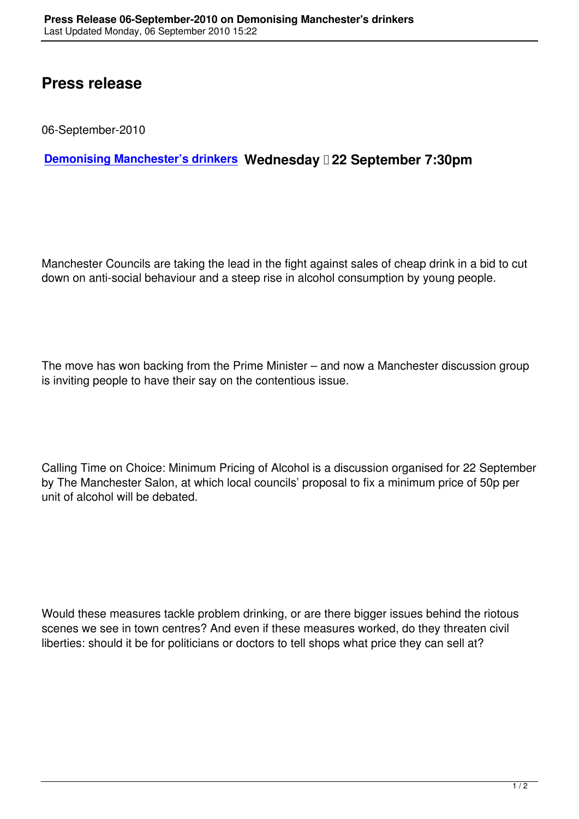## **Press release**

06-September-2010

## **Demonising Manchester's drinkers Wednesday 22 September 7:30pm**

Manchester Councils are taking the lead in the fight against sales of cheap drink in a bid to cut down on anti-social behaviour and a steep rise in alcohol consumption by young people.

The move has won backing from the Prime Minister – and now a Manchester discussion group is inviting people to have their say on the contentious issue.

Calling Time on Choice: Minimum Pricing of Alcohol is a discussion organised for 22 September by The Manchester Salon, at which local councils' proposal to fix a minimum price of 50p per unit of alcohol will be debated.

Would these measures tackle problem drinking, or are there bigger issues behind the riotous scenes we see in town centres? And even if these measures worked, do they threaten civil liberties: should it be for politicians or doctors to tell shops what price they can sell at?